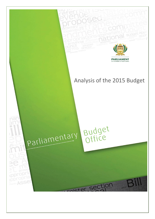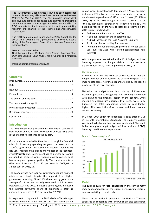The Parliamentary Budget Office (PBO) has been established in terms of the Money Bills Amendment Procedure and Related Matters Act (Act 9 of 2009). The PBO provides independent, objective and professional advice and analysis to Parliament on matters related to the budget and other money Bills. The PBO supports the implementation of the Act by undertaking research and analysis for the Finance and Appropriations Committees.

The PBO was requested to analyse the 2015 Budget. On the 3<sup>rd</sup> of March 2015 the PBO presented its analysis to a jointsitting of the Standing and Select Committees on Finance and Appropriations.

#### Director: Mohamed Jahed

Contributing authors: Rashaad Amra (editor), Brandon Ellse, Dumisani Jantjies, Seán Muller, Nelia Orlandi and Mmapula Sekatane

Inquiries: ramra@parliament.gov.za

# **Contents**

# <span id="page-1-0"></span>**Introduction**

The 2015 Budget was presented in a challenging context of slow growth and rising debt. The need to address rising debt is the imperative that shapes the budget.

Government responded to the effects of the global financial crisis by increasing spending to grow the economy. In 2009/10 government increased non-interest spending by R161bn. This began the expansionary phase of the "countercyclical" fiscal policy. Government had to increase borrowing as spending increased while revenue growth slowed. Debt has subsequently grown significantly. The country's debt-to-GDP level increased from 22 per cent in 2008/09 to 38 per cent by 2013/14.

The economy has however not returned to its pre-financial crisis growth level, despite the support from higher government spending. Since 2009 the economy grew by an average of 1.5 per cent annually compared to 4.9 per cent between 2004 and 2009. Increasing spending has increased the interest payments share of expenditure. Debt is expected to increase to 43.8 per cent by 2017/18.

In response to rising debt, in the 2014 Medium Term Budget Policy Statement National Treasury said "fiscal consolidation

can no longer be postponed". It proposed a "fiscal package" including a R27 billion increase in revenue and a reduction in non-interest expenditure of R25bn over 2 years (2015/16 – 2016/17). In the 2015 Budget, National Treasury stressed "the counter-cyclical approach has reached its limits". The detailed proposals of the fiscal package are presented in the 2015 Budget, and include:

- An increase in Personal Income Tax
- A 30.5 c/L increase in the general fuel levy
- A 50 c/L increase in the Road Accident Fund levy
- A UIF contribution holiday for one year
- Average nominal expenditure growth of 7.9 per cent a year over the 2015 MTEF period (consolidated noninterest)

With the proposals contained in the 2015 Budget, National Treasury expects the budget deficit to improve from 3.9 per cent in 2014/15 to 2.5 per cent in 2017/18.

### *Considerations*

In the 2014 MTBPS the Minister of Finance said that the budget "will not be balanced on the backs of the poor". It is important to assess how the poor are affected by the specific proposals of the fiscal package.

Naturally, the budget tabled is a ministry of finance or treasury approach to budgeting. It is primarily concerned with ensuring the financial health of the country, while meeting its expenditure priorities. If all needs were to be budgeted for, total expenditure would be considerably higher. This would therefore require additional revenue and/or borrowing.

In October 2014 South Africa updated its calculation of GDP in-line with international standards. The country's output was found to be higher than previously estimated. The result is that for a given target budget deficit (as a share of GDP), Treasury could increase expenditure.





#### <span id="page-1-1"></span>**Debt**

The current push for fiscal consolidation that drives many important components of the Budget derives primarily from concerns relating to public debt.

There are two ratios in particular that National Treasury appear to be concerned with, and which are also considered

**2 |** P a r l i a m e n t a r y B u d g e t O f f i c e - *A n a l y s i s o f 2 0 1 5 B u d g e t*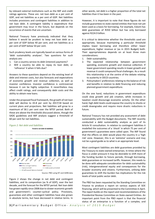by relevant external institutions such as the IMF and credit ratings agencies. These are: net loan debt as a per cent of GDP, and net liabilities as a per cent of GDP. Net liabilities includes provisions and contingent liabilities in addition to net loan debt. A contingent liability is expenditure that government may incur in the future, but depends on the occurrence of events that are uncertain.

National Treasury have previously indicated that they believe it would be prudent to keep net loan debt as a per cent of GDP below 40 per cent, and net liabilities as a per cent of GDP below 50 per cent.

Such prudency levels are typically based on various forms of 'debt sustainability analyses'. Two questions for such analysis are:

- 1. Can a country service its debt (interest) payments?
- 2. Will a country be able to repay its loan debt, or 'refinance' it when it falls due?

Answers to these questions depend on the existing level of debt and interest costs, but also forecasts and expectations of economic growth and revenue collection, as well as investor confidence. Investor confidence is controversial because it can be highly subjective. It nevertheless may affect credit ratings, and consequently debt costs and the ability to obtain new loans.

Under the proposed fiscal framework, the growth of net loan debt will decline to 43.8 per cent by 2017/18 based on current plans and projections. Net liabilities will grow to a maximum of 58.1 per cent over the MTEF period. Both of these are above the thresholds discussed above, though the SADC guidelines and IMF analysis suggest a threshold of 60 per cent for net liabilities.





Source: PBO using NT and SARB data

Figure 2 shows the change in net debt and contingent liabilities, and its composition (as % of GDP), over the last decade, and the forecast for the MTEF period. Net loan debt has grown rapidly since 2008 due to slower economic growth and government's counter-cyclical policy. Provisions, guarantees and other contingent liabilities have also grown in absolute terms, but have decreased in relative terms. In other words, net debt is a higher proportion of the total net liabilities than it has been in the past.

However, it is important to note that these figures do not include guarantees to state owned entities that have not yet been used as a basis for borrowing. For example, Eskom has debt guarantees of R350 billion but has only borrowed against R224.9 billion.

It is critical to determine whether the thresholds used are appropriate, because maintaining a particular threshold implies lower borrowing and therefore either lower expenditure, higher revenue or (as in 2015 Budget) both. Their appropriateness depends on at least three main considerations:

- 1. Debt sustainability.
- 2. The expected relationship between government spending, economic growth and revenue collection. If lower government spending results in lower growth and revenue it could compound fiscal challenges. As a result this relationship is at the centre of the debate relating to austerity in OECD countries.
- 3. Policymakers' preferences relating to the balance of risk and benefits in relation to debt financing and reducing planned government expenditure.

On the one hand, reductions in government expenditure could slow growth and job creation, while increases in taxation could discourage economic activity. On the other hand, high debt levels could expose the country to shocks or credit downgrades and require more drastic reductions in future.

National Treasury has not provided any assessment of debt sustainability with the Budget documents. The IMF recently conducted a debt sustainability analysis as part of its Article IV consultation. In relation to contingent liabilities it modelled the outcomes of a 'shock' in which 75 per cent of government's guarantees were called upon. The IMF found that the effects on debt would place the country in a 'high risk' zone. However, this is an 'extreme' scenario and may not be a good guide as to what is an appropriate level.

Most contingent liabilities are debt guarantees provided by the Treasury to state-owned enterprises. In times where the fiscus is under pressure it may be desirable to shift more of the funding burden to future periods, through borrowing, debt guarantees or increased tariffs. However, this needs to be done with adequate consideration for debt sustainability (risk), intergenerational equity and consequences for the broader economy and citizens. Furthermore, utilising debt guarantees to shift the burden has implications for the risk levels of total public sector debt.

The PBO has been requested by the Standing Committee on Finance to produce a report on various aspects of SOE financing, which will be presented to the Committee in April. The report builds on the report and recommendations of the Presidential Review Committee on State-owned Entities. An important point from the PBO report is that the financial status of an enterprise is a function of a complex, and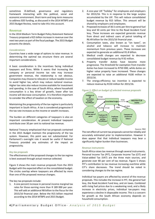sometimes ill-defined, governance and regulatory framework interacting with the political, social and economic environment. Short-term and long-term measures to address SOE funding, as discussed in the 2014 MTBPS and 2015 Budget Review, need to take this into account.

## <span id="page-3-0"></span>**Revenue**

In the 2014 Medium Term Budget Policy Statement National Treasury proposed a R25 billion increase in revenue over the next two years as part of the fiscal package. The 2015 Budget presents the details.

## *Considerations*

Countries have a wide range of options to raise revenue. In determining the optimal tax structure there are several important considerations.

A basic consideration is the incentives facing individual taxpayers and firms. While it seems that increasing the company or personal income tax rate may increase government revenue, the relationship is not obvious. Companies may choose to relocate or reduce taxable income to avoid higher tax, which may reduce national revenue. Higher tax rates also reduce income available for investment and spending. In the case of South Africa, where household consumption is a key driver of growth, lower after tax income will decrease consumption. It is therefore important to consider the effect of taxation on the economy.

Maintaining the progressivity of the tax regime is particularly important in South Africa. A tax is considered progressive if the tax rate increases as the income or wealth increases.

The burden on different categories of taxpayers is also an important consideration. At present individual taxpayers contribute over 30 per cent to national tax revenue.

National Treasury emphasised that tax proposals contained in the 2015 Budget maintain the progressivity of the tax system. However, this point was not substantiated. For Parliament's oversight role it would be useful if National Treasury provided any estimates of the impact on progressivity.

## *Key tax proposals*

The effectiveness of the proposed changes to the tax regime is best assessed through actual revenue collected.

Figure 3 shows the main revenue proposals from the 2015 Budget with the expected effect on the consolidated budget. The circles overlap where taxpayers are affected by more than one of the proposed revenue changes.

The key tax proposals include:

1. A one percent increase in personal income marginal tax rates for those earning more than R 189 000 per year. This will add an additional R8 billion to the fiscus for the 2015/16 financial year. Below the R15 billion required according to the 2014 MTBPS and 2015 Budget.

- 2. A one-year UIF "holiday" for employees and employers for 2015/16. This is in response to the large surplus accumulated by the UIF. This will reduce consolidated budget revenue by R15 billion. This amount will be shared by employers and employees.
- 3. Proposed increases of 30.5 cents per litre to general fuel levy and 50 cents per litre to the Road Accident Fund levy. These increases are expected generate revenue from direct and indirect users of petrol totalling of R6.49 billion for the 2015/16 financial year.
- 4. Consumption taxes, also known as "sin taxes", on alcohol and tobacco will increase to maintain momentum from previous years. These increases are expected to generate an additional R1.8 billion.
- 5. Medical credit changes are expected to decrease consolidated budget revenue by R 92 million.
- 6. Property transfer duties have become more progressive. The threshold for exemption from transfer duties has been increased to R750 000, while duties on higher value property have increased. These changes are expected to raise an additional R100 million in 2015/16.
- 7. The energy-efficiency tax incentive is expected to reduce revenue by R150 million for 2015/16.

*Figure 3. Effect on budget of selected revenue proposals*



The net effect of current tax proposals cannot be reliably and accurately estimated prior to implementation. However it does appear that that individual taxpayers may bear a significantly higher burden than businesses.

#### *Revenue instruments*

South Africa raises tax revenue through several instruments. Personal Income Tax (PIT), Corporate Income Tax (CIT) and Value-added Tax (VAT) are the three main sources, and generate over 80 per cent of tax revenue. Figure 5 shows PIT's contribution to tax revenue increasing overtime while CIT's share decreases. The trend should be noted in considering changes to the tax regime.

Individual tax payers are affected by several of the revenue proposals. This includes the increase in PIT, the general fuel levy, the Road Accident Fund levy, and sin taxes. Combined with rising fuel prices due to a weakening rand, and a likely increase in electricity prices, individual tax-payers may experience a decline in disposable income. This is a concern for growth as the South African economy depends on household consumption.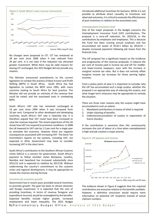

Source: PBO using NT data

No changes were proposed to CIT. CIT has remained at 28 per cent since 2006 when it was reduced from 29 per cent. It is not clear if the reduction has attracted greater investment. While there may be valid reasons for leaving CIT unchanged, the 2015 Budget did not provide any reasons.

The Minister announced amendments to the current legislation to combat the practice of Base Erosion and Profit Shifting (BEPS) in South Africa. South Africa has had legislation to combat the BEPS since 1995, with many countries looking to South Africa for best practice. The Minister did not provide an estimate of the revenue that could be raised, and the associated costs in combatting BEPS.

South Africa's VAT rate has remained unchanged at 14 per cent since 1994 when it was increased from 10 per cent. Compared to other developed and developing countries, South Africa's VAT rate is relatively low. It is therefore argued that VAT could have been increased to raise the revenue required. The recent experience of the UK shows how VAT can respond to economic conditions. In 2008 the UK lowered its VAT rate by 1.5 per cent for a single year to stimulate the economy. However there are negative consequences associated with increasing VAT. The Davis Tax Committee's reports on tax systems, including VAT, are expected in 2016. Government may have to consider increasing VAT in the short term.

South Africa's contribution to the Southern African Customs Union (SACU) is a concern for government. South Africa's payment to fellow member states Botswana, Lesotho, Namibia and Swaziland has increased substantially since 2011/12 and is expected to stabilise by 2017/18. Without undermining the country's commitment to the customs union and regional development, it may be appropriate to review the revenue sharing formula.

#### *Incentives for economic growth*

Government has in recent years provided several incentives to promote growth. The goal has been to attract domestic and foreign investment. It is expected that the cost of providing incentives, in terms of revenue foregone and expenditure incurred, would be outweighed by the benefits. Expected benefits include higher growth, increased employment and lower inequality. The 2015 Budget introduced additional incentives for business. While it is not possible to attribute direct causality to incentives and observed outcomes, it is critical to evaluate the effectiveness of past incentives in relation to the associated costs.

#### *Unemployment Insurance Fund*

One of the major proposals in the Budget concerns the Unemployment Insurance Fund (UIF) contributions. The proposal is a once-off reduction, for 2015/16, in the contributions by employers and employees. This is because the Fund has been running annual surpluses and has accumulated net assets of R110.1 billion by 2014/15 – despite increased payments following job losses from the financial crisis.

This UIF proposal has a significant impact on the incidence and progressivity of the revenue proposals. It reduces the per cent of income paid in income tax and UIF for middleand lower-income taxpayers, even with the increase in marginal income tax rates. But it does not entirely offset marginal income tax increases for those earning higher incomes.

From a policy point of view it is important to consider why the UIF has accumulated such a large surplus, whether the proposal is an appropriate way of reducing the surplus, and what longer-term measures may be appropriate to remedy the situation.

There are three main reasons why the surplus might have accumulated to such an extent:

- 1. Mandated contributions in excess of what is required
- 2. Under-claiming of benefits
- 3. Collection/accumulation of surplus in expectation of future shock(s)

If the contribution is excessive then this unnecessarily increases the cost of labour at a time when unemployment is high and job creation a major priority.





The evidence shown in Figure 6 suggests that the required contributions are excessive relative to the benefits available. However, a definitive conclusion would require more information on potential UIF recipients instead of actual claimant numbers.

**5 |** P a r l i a m e n t a r y B u d g e t O f f i c e - *A n a l y s i s o f 2 0 1 5 B u d g e t*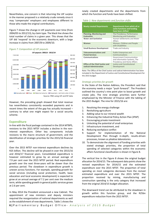Nevertheless, one concern is that returning the UIF surplus in the manner proposed is a relatively crude remedy since it may 'compensate' employers and employees different to those who made the original contributions.

Figure 7 shows the change in UIF payments over time (from 2004/05 to 2012/13), by claim type. The black line shows the total number of claims in a given year. This shows that the UIF did 'respond' to the economic downturn, with a large increase in claims from 2007/8 to 2009/10.

### *Figure 7: Composition of UIF payouts*



However, the preceding graph showed that total revenue has nevertheless consistently exceeded payments and in recent times the extent of the gap has actually increased – contrary to what one might expect for a social security scheme.

# <span id="page-5-0"></span>**Expenditure**

In-line with the fiscal package contained in the 2014 MTBPS, revisions to the 2015 MTEF includes a decline in the noninterest expenditure. Other key components include revisions to the macro structure of government, and the identification of strategic priorities for the 2015/16 financial year.

Over the 2015 MTEF non-interest expenditure declines by R25 billion. This decline will be phased-in over the 2015/16 and 2016/17 financial years. Consolidated expenditure is however estimated to grow by an annual average of 7.9 per cent over the 2015 MTEF period. Real expenditure growth over the next three-years will be slower than the previous period. The slowdown in expenditure growth is uneven across functions. For example, spending growth for social services (including social protection, health, basic education and local economic development) is expected to grow at an annual average of 7.2 per cent over the medium term, while spending growth in general public services grows at 2.6 per cent.

In May 2014 the President announced a new Cabinet. The appointment of new ministers and deputy ministers required the reorganisation of national departments as well as the establishment of new departments. Table 1 shows the

newly created departments and the departments from which the function and funds have been shifted.

*Table 1: New departments and function shifts*

| <b>Newly created Departments</b>                                  | Departments from which all or<br>some functions and funding<br>have been shifted        |  |
|-------------------------------------------------------------------|-----------------------------------------------------------------------------------------|--|
| Planning, Monitoring and<br><b>Evaluation</b>                     | The Presidency: Performance<br>Monitoring and Evaluation                                |  |
| <b>Water and Sanitation</b>                                       | Human Settlements and Water<br>Affairs                                                  |  |
| Women                                                             | Women, Children and People<br>with Disabilities                                         |  |
| <b>Small Business Development</b>                                 | Trade and Industry                                                                      |  |
| <b>Telecommunications and</b>                                     | <b>Public Enterprises and</b>                                                           |  |
| <b>Postal Services</b>                                            | Communications                                                                          |  |
| <b>Communications</b>                                             | Government Communication<br>and Information Systems, The<br>Presidency and Home Affairs |  |
| Office of the Chief Justice and<br><b>Judicial Administration</b> | Justice and Constitutional<br>Development                                               |  |

Note: The Office of the Chief Justice and Judicial Administration has been included in the Department of Justice and Constitutional Development for the 2015 budget

## *Strategic priorities for growth*

In the State of the Nation Address, the President said that the economy needs a major "push forward". The President outlined the country's nine point plan to boost growth and create jobs. The nine strategic priorities were further emphasised by the Minister of Finance with the tabling of the 2015 Budget. The nine for 2015/16 are:

- 1. Resolving the energy challenge
- 2. Revitalising agriculture
- 3. Adding value to our mineral wealth
- 4. Enhancing the Industrial Policy Action Plan (IPAP)
- 5. Encouraging private investment
- 6. Unlocking the potential of small enterprises
- 7. Infrastructure investment, and
- 8. Reducing workplace conflict
- 9. Support for implementation of the National Development Plan through in-depth, results-driven processes, known as *phakisa laboratories*.
- 10. To demonstrate the alignment of funding priorities with stated strategic priorities, the proportion of total spending of selected categories within the economic affairs functional classification is shown in Figure 8.

The vertical line in the Figure 8 shows the original budget allocation for 2014/15. The subsequent data points show the revised expenditure for 2014/15 and the estimated expenditure over the 2015 MTEF. The proportion of total spending on most categories decreases from the revised estimated expenditure and over the 2015 MTEF. The proportion received by mining, manufacturing and construction spending is the only category that increased from the original 2014/15 budget allocation.

The downward trend can be attributed to the slowdown in growth within this function group, and the R25bn expenditure reduction from the 2015 MTEF.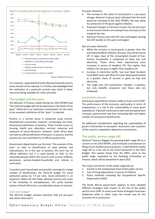

Source: National Treasury

It is, however, expected that funds allocated towards priority areas should not be reduced. It is further acknowledged that the realisation of a particular priority may result in fewer resources being available for other priorities.

## <span id="page-6-0"></span>**The budget and the poor**

The Minister of Finance stated during the 2014 MTBPS that "the national budget will not be balanced on the backs of the poor". While this is an important commitment, for the claim to be assessed a definition of the "poor" is required.

Poverty in a narrow sense is measured using income. Development economists, however, increasingly use multidimensional definitions of poverty. These include access to housing, health care, education, services, resources and measures of social dynamics. However, South Africa does not have an official definition of the poor or poverty, and the country has not committed to an official poverty line.

Government departments use the term "the poorest of the poor" to refer to beneficiaries of state policies and interventions. As in the case of poverty, this term has no official definition but it is used loosely to refer to the vulnerable groups within the country such as poor children, pensioners, women-headed-households and, citizens in rural areas.

To protect poor households and provide coverage for a large number of beneficiaries, the 2015/16 budget for social protection grows by 7.9 per cent. Social protection is an important safety net that helps alleviate poverty and some of the hardships of unemployment. The social transfer system of South Africa has a considerable impact on poverty.

## *A pro-poor budget?*

The 2015/16 budget contains elements that are pro-poor and others that aren't.

Pro-poor elements:

- The increase in the value of social grants is a pro-poor change. National Treasury have indicated that the level would be reviewed at the 2015 MTBPS, this may allow for protection of the grant against inflation.
- Proposed changes to Personal Income Tax are pro-poor as low income earners are exempt from increases to the marginal tax rate.
- National Treasury also left VAT rate unchanged, leaving the VAT burden on the poor unchanged.

Non pro-poor elements:

- While the increase in social grants is greater than the estimated headline inflation, the poor may still be worse off. A large share of the consumption basket of lowincome households is comprised of food, fuel and electricity. These items have experienced price increases in excess of headline CPI, this implies that inflation for the poor is higher than headline CPI.
- Increase in electricity tariffs, fuel and Road Accident Fund (RAF) levies will affect the poor disproportionately as a greater share of income is spent on fuel and electricity.
- The single year UIF contribution "holiday" is positive, but only benefits employers and those who are employed.

### *Sustainability of grants*

Social grant expenditure remains stable at 3 per cent of GDP. The performance of the economy, particularly in terms of employment, is a risk to the sustainability of social grant expenditure. If growth continues to slow and unemployment increases, government may face increasing debt and higher number of social grant beneficiaries.

An additional consideration regarding the sustainability of grants is the burden on tax payers. At present, over a quarter of the country's population depend on social grants.

# <span id="page-6-1"></span>**The public service wage bill**

National Treasury flagged the growing public wage bill as a concern in the 2014 MTBPS, and instituted a moratorium on filling of non-funded vacant positions. It identified the public wage bill as a key risk to the fiscal framework in the 2015 Budget. This section draws from the PBO's work on the public wage requested by the Standing Committee on Finance, which will be presented in April 2015.

The major cost drivers of the public wage bill are:

- 1. Growth in the employment level of the public service
- 2. Cost of living adjustments in excess of inflation
- 3. Policy initiatives including the Occupational Specific Dispensation (OSD)

The South African government appears to have adopted different strategies with respect to the size of the public service since 1994. In some cases these strategies have been deliberate while in other cases the trends may be the outcome of circumstances.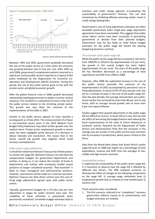#### *Figure 9: Employment growth, 1994-2014*



Source: South African Reserve Bank

Between 1994 and 2003, government gradually decreased the size of the public service at a time when the economy was growing between two to four per cent. After 2003 up until 2008, government's employment pattern reverted to a typical pro-cyclical public service response as is typical of the policy employed by the Organisation for Economic Cooperation and Development (OECD) countries. During this period, the size of the public service grew in-line with the private sector and global economic growth.

After the global financial crisis in 2008, growth decreased substantially leading government to adopt a counter-cyclical response. This resulted in a substantial increase in the size of the public service relative to the shrinking private sector. This growth was also likely the outcome of the implementation of the OSDs in 2007.

Growth in the public service appears to have reached a turning point as of late 2014. The announcement of a freeze in non-essential vacant posts in the 2014 Medium Term Budget Policy Statement may deter further growth over the medium-term. Private sector employment growth in recent years has been negligible partly because of a decrease in labour intensity and investment. This means that in the future, overall job growth may stagnate which could increase unemployment.

#### *Public sector wage settlements*

It should be noted that National Treasury has limited powers to contain the wage bill. National Treasury can only limit the compensation budgets for government departments and entities. In doing so, it can reduce the transfer of funds to departments and entities with previously funded vacant positions no longer considered essential. "Non-essential" is likely to mean managerial and administrative positions. However, assessments will be made on a case-by-case basis. National Treasury has little direct control over the cost-ofliving wage adjustments agreed upon with public sector unions.

Typically, government budgets for a CPI plus one per cent adjustment in wages for public servants each year. The credibility of these estimates is questioned when persistently unrealised. Unreliable budget estimates lead to

investors and credit ratings agencies re-evaluating the sustainability of government's finances. This can limit investment by inhibiting effective planning and/or result in credit ratings downgrades.

Government's cost of living adjustment estimates are often exceeded (particularly when single-year wage adjustment agreements have been concluded). This suggests that public sector labour unions have been successful in persuading government to deviate from their planned budgets. Government may be less likely to meet future budget estimates for the public wage bill should the existing bargaining dynamics continue.

#### *The evolution of the public wage bill*

While the public service wage bill has increased in real terms from 1994/95 to 2014/15 (by approximately 122 per cent), the growth in the overall budget has been higher (approximately 151 per cent). The share of the public wage bill has therefore decreased as a percentage of total expenditure and GDP from 1994 to 2008.

However, after 2008 the substantial increase in the size of the public service (partially the outcome of the implementation of OSD) accompanied by persistent cost of living adjustments, in excess of the CPI plus one per cent, has led to a marked increase in the size of the public wage bill. Over the past decade, the average remuneration per publicsector worker has increased by more than 80 per cent in real terms, with an average annual growth rate of more than 6 per cent above inflation.

Studies suggest that upward adjustments in the public wage bill are difficult to reverse. In South Africa's case, this has had the effect of worsening the budget balance and reducing the fiscal responsiveness of the state to future downturns in economic activity. Research by the Department of Public Service and Administration finds that the increases in the average pay per worker in the public service have not been met by increases in productivity, which poses a threat to the fiscus.

Data from the World Bank shows that South Africa's public wage bill prior to 2008 was higher (as a percentage of total expenditure, revenue and GDP) than the averages of low, middle and high income countries.

#### *Sustainability analysis*

In exploring the sustainability of the public sector wage bill, it is necessary to observe how the wage bill is affected by different key drivers. The PBO analysed scenarios to illustrate the effect of changes to the following components on the wage bill: 1) average wage settlement level 2) employment growth due to creation of new funded posts 3) vacancy rate.

Three scenarios were considered.

1. The first scenario, referred to as "*compliance*", assumes government adheres closely to its commitments, and budget estimates are realised.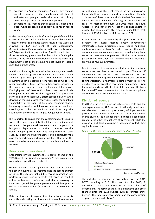- 2. Scenario two, "partial compliance", entails government partially complying to its commitments, with budget estimates marginally exceeded due to a cost of living adjustment greater than CPI plus one per cent.
- 3. Scenario three, "recent trends continue", entails the public wage bill continuing to grow as it has in recent years.

Under the *compliance*, South Africa's budget deficit will be closely in line with what has been estimated by National Treasury. *Partial compliance* would result in the wage bill growing to 36.4 per cent of total expenditure. *Recent trends continue* would result in the wage bill growing to 37.4 per cent of total expenditure. Should scenario two or three materialise, government has the choice of funding the increase in the wage bill by borrowing more and increasing government debt or maintaining its debt levels by cutting spending in other areas.

Additional financing is required when employment levels increase and average wage settlements are at levels above "inflation plus one per cent". The additional finance requirement can be acquired from reallocating funds from other expenditure items, increasing borrowing, drawing on the unallocated reserves, or a combination of the above. Employing each of these options has its own set of likely consequences and risks. Reallocating funds from goods and services is likely to negatively affect service delivery, while drawing on the unallocated reserves increases the country's vulnerability in the event of fiscal and economic shocks. Increasing borrowing will increase interest expenditure, crowding-out other expenditure and increasing the likelihood of the country missing its budget deficit targets.

It is important to ensure that the containment of the public wage bill is done responsibly. It will therefore be important to monitor the personnel headcounts and compensation budgets of departments and entities to ensure that the slower budget growth does not compromise on their capacity to deliver on their mandates. This is particularly the case for departments performing functions that serve the most vulnerable populations, such as health and education services.

## <span id="page-8-0"></span>**Private sector investment**

Encouraging private investment is a central theme of the 2015 Budget. This is part of government's nine point action plan to boost growth and create jobs.

Growth in private sector capital investment contracted over the last two quarters, the first time since the second quarter of 2010. The reasons behind the recent contraction are unclear. National Treasury suggests that this is the result of a loss in business confidence, and that a recovery in investment growth by general government will lead private sector investment higher (also known as the crowding-in effect).

Data on investment suggest that the private sector is currently undertaking only investment required to maintain current operations. This is reflected in the rate of increase in the cash held by corporates and close corporations. The rate of increase of these bank deposits in the last few years has been in excess of inflation, reflecting the accumulation of cash. The most recent figure (Jan 2015) from the South African Reserve Banks shows that the balance sheets of private businesses currently reflect a cumulative cash balance of R653.1 billion or 17.2 per cent of GDP.

A contraction in investment by the private sector is a problem for several reasons. Firstly, government's infrastructure build programme may require additional public-private partnerships. Secondly, it appears that public sector employment creation is slowing, requiring the private sector to create more employment. Finally, an increase in private sector investment is assumed in National Treasury's growth and revenue estimates.

Despite a range of incentives targeted at business, private sector investment has not recovered to pre-2008 levels. If impediments to private sector investment are not addressed, economic growth and revenue growth are likely to underperform. Furthermore, unemployment is likely to rise due to slower growth in government employment. Given the constraints to growth, it is difficult to determine the basis for National Treasury's assumption of an increase in private sector investment over the medium-term.

# <span id="page-8-1"></span>**Division of revenue**

In 2015/16, after providing for debt-service costs and the contingency reserve, 47.9 per cent of nationally raised funds are allocated to national government, 43.1 per cent to provincial government and 9.1 per cent to local government. In this division, the national share includes all conditional grants to the other two spheres of government, while the provincial and local government allocations reflect their equitable shares only.



*Figure 10: Division of nationally raised funds in 2015/16*

The reduction in non-interest expenditure over the 2015 MTEF, including a R10 billion reduction for 2015/16, necessitated revised allocations to the three spheres of government. The result of the fiscal adjustments and other changes since the 2014 Budget, such as function shifts between the spheres of government and the consolidation of grants, are shown in Table 2.

Source: National Treasury